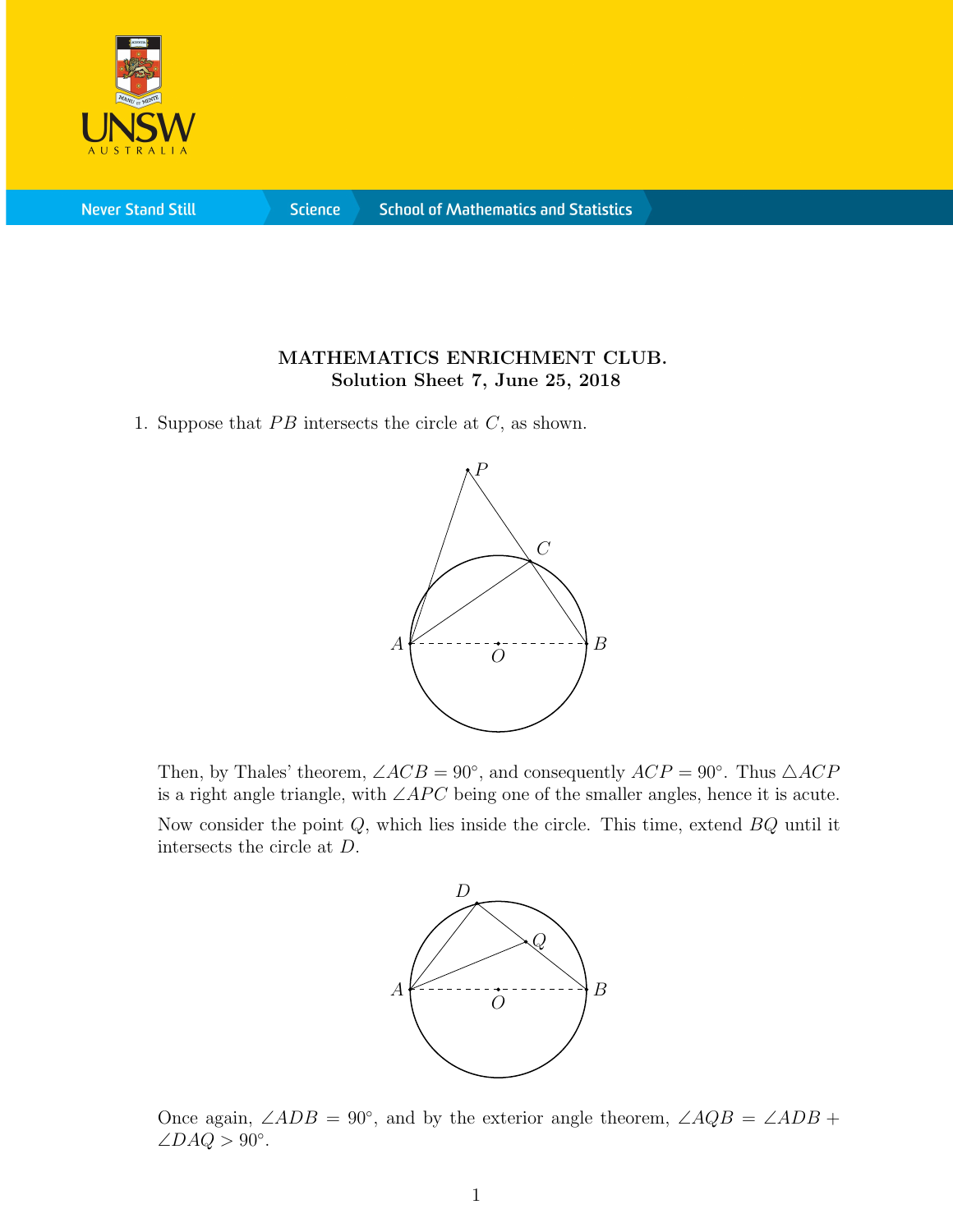

**Never Stand Still** 

**Science** 

## MATHEMATICS ENRICHMENT CLUB. Solution Sheet 7, June 25, 2018

1. Suppose that  $PB$  intersects the circle at  $C$ , as shown.



Then, by Thales' theorem,  $\angle ACB = 90^\circ$ , and consequently  $ACP = 90^\circ$ . Thus  $\triangle ACP$ is a right angle triangle, with  $\angle APC$  being one of the smaller angles, hence it is acute. Now consider the point  $Q$ , which lies inside the circle. This time, extend  $BQ$  until it intersects the circle at D.



Once again,  $\angle ADB = 90^\circ$ , and by the exterior angle theorem,  $\angle AQB = \angle ADB +$  $\angle DAQ > 90^\circ.$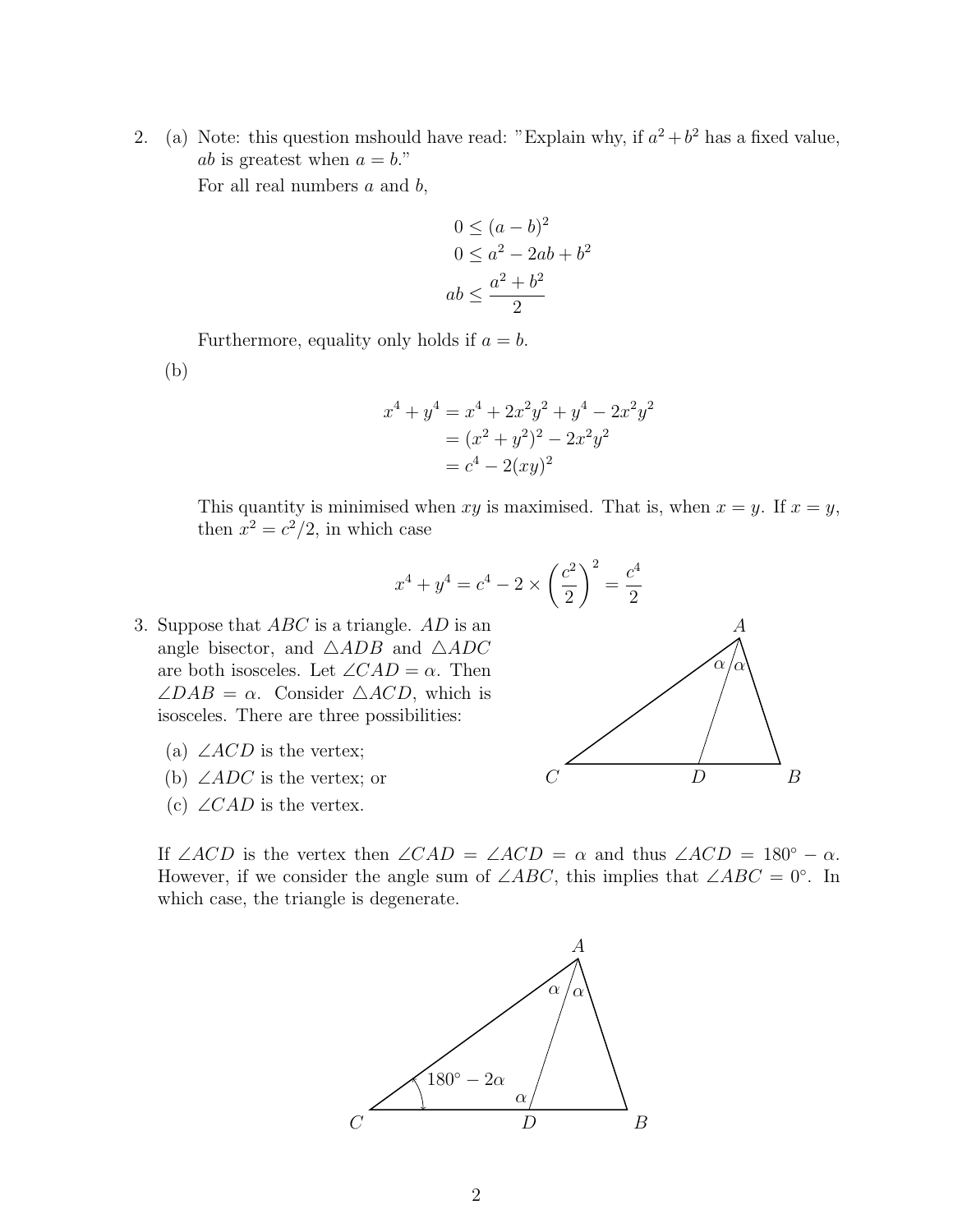2. (a) Note: this question mshould have read: "Explain why, if  $a^2 + b^2$  has a fixed value, *ab* is greatest when  $a = b$ ."

For all real numbers  $a$  and  $b$ ,

$$
0 \le (a - b)^2
$$
  
\n
$$
0 \le a^2 - 2ab + b^2
$$
  
\n
$$
ab \le \frac{a^2 + b^2}{2}
$$

Furthermore, equality only holds if  $a = b$ .

(b)

$$
x^{4} + y^{4} = x^{4} + 2x^{2}y^{2} + y^{4} - 2x^{2}y^{2}
$$
  
=  $(x^{2} + y^{2})^{2} - 2x^{2}y^{2}$   
=  $c^{4} - 2(xy)^{2}$ 

This quantity is minimised when xy is maximised. That is, when  $x = y$ . If  $x = y$ , then  $x^2 = c^2/2$ , in which case

$$
x^{4} + y^{4} = c^{4} - 2 \times \left(\frac{c^{2}}{2}\right)^{2} = \frac{c^{4}}{2}
$$

- 3. Suppose that  $ABC$  is a triangle.  $AD$  is an angle bisector, and  $\triangle ADB$  and  $\triangle ADC$ are both isosceles. Let  $\angle CAD = \alpha$ . Then  $\angle DAB = \alpha$ . Consider  $\triangle ACD$ , which is isosceles. There are three possibilities:
	- (a)  $\angle ACD$  is the vertex;
	- (b)  $\angle ADC$  is the vertex; or
	- (c)  $\angle CAD$  is the vertex.



If ∠ACD is the vertex then  $\angle CAD = \angle ACD = \alpha$  and thus  $\angle ACD = 180^\circ - \alpha$ . However, if we consider the angle sum of  $\angle ABC$ , this implies that  $\angle ABC = 0^{\circ}$ . In which case, the triangle is degenerate.

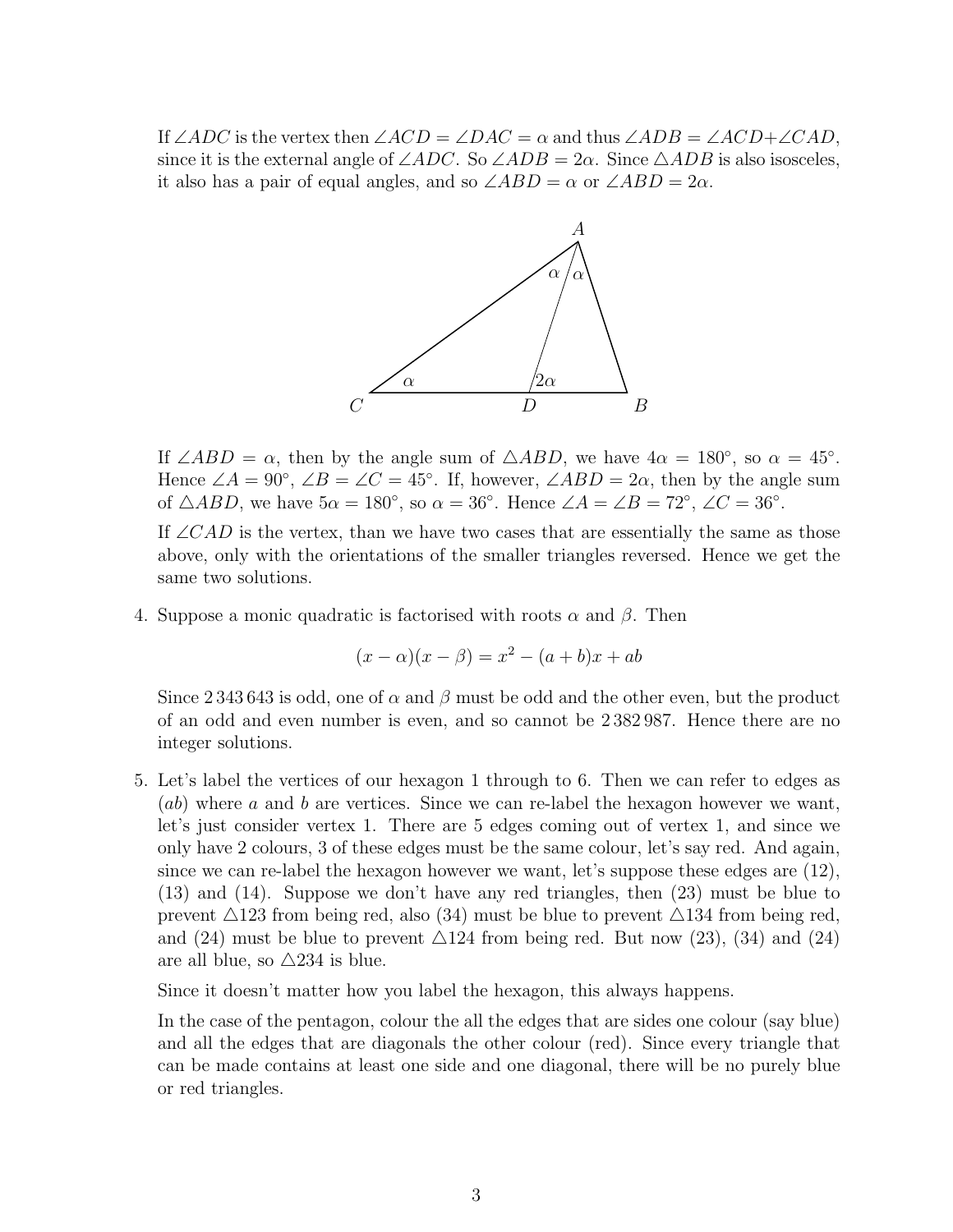If ∠ADC is the vertex then  $\angle ACD = \angle DAC = \alpha$  and thus  $\angle ADB = \angle ACD + \angle CAD$ , since it is the external angle of  $\angle ADC$ . So  $\angle ADB = 2\alpha$ . Since  $\triangle ADB$  is also isosceles, it also has a pair of equal angles, and so  $\angle ABD = \alpha$  or  $\angle ABD = 2\alpha$ .



If  $\angle ABD = \alpha$ , then by the angle sum of  $\triangle ABD$ , we have  $4\alpha = 180^{\circ}$ , so  $\alpha = 45^{\circ}$ . Hence  $\angle A = 90^\circ$ ,  $\angle B = \angle C = 45^\circ$ . If, however,  $\angle ABD = 2\alpha$ , then by the angle sum of  $\triangle ABD$ , we have  $5\alpha = 180^\circ$ , so  $\alpha = 36^\circ$ . Hence  $\angle A = \angle B = 72^\circ$ ,  $\angle C = 36^\circ$ .

If  $\angle CAD$  is the vertex, than we have two cases that are essentially the same as those above, only with the orientations of the smaller triangles reversed. Hence we get the same two solutions.

4. Suppose a monic quadratic is factorised with roots  $\alpha$  and  $\beta$ . Then

$$
(x - \alpha)(x - \beta) = x^2 - (a + b)x + ab
$$

Since 2 343 643 is odd, one of  $\alpha$  and  $\beta$  must be odd and the other even, but the product of an odd and even number is even, and so cannot be 2 382 987. Hence there are no integer solutions.

5. Let's label the vertices of our hexagon 1 through to 6. Then we can refer to edges as  $(ab)$  where a and b are vertices. Since we can re-label the hexagon however we want, let's just consider vertex 1. There are 5 edges coming out of vertex 1, and since we only have 2 colours, 3 of these edges must be the same colour, let's say red. And again, since we can re-label the hexagon however we want, let's suppose these edges are (12), (13) and (14). Suppose we don't have any red triangles, then (23) must be blue to prevent  $\triangle 123$  from being red, also (34) must be blue to prevent  $\triangle 134$  from being red, and (24) must be blue to prevent  $\triangle 124$  from being red. But now (23), (34) and (24) are all blue, so  $\triangle 234$  is blue.

Since it doesn't matter how you label the hexagon, this always happens.

In the case of the pentagon, colour the all the edges that are sides one colour (say blue) and all the edges that are diagonals the other colour (red). Since every triangle that can be made contains at least one side and one diagonal, there will be no purely blue or red triangles.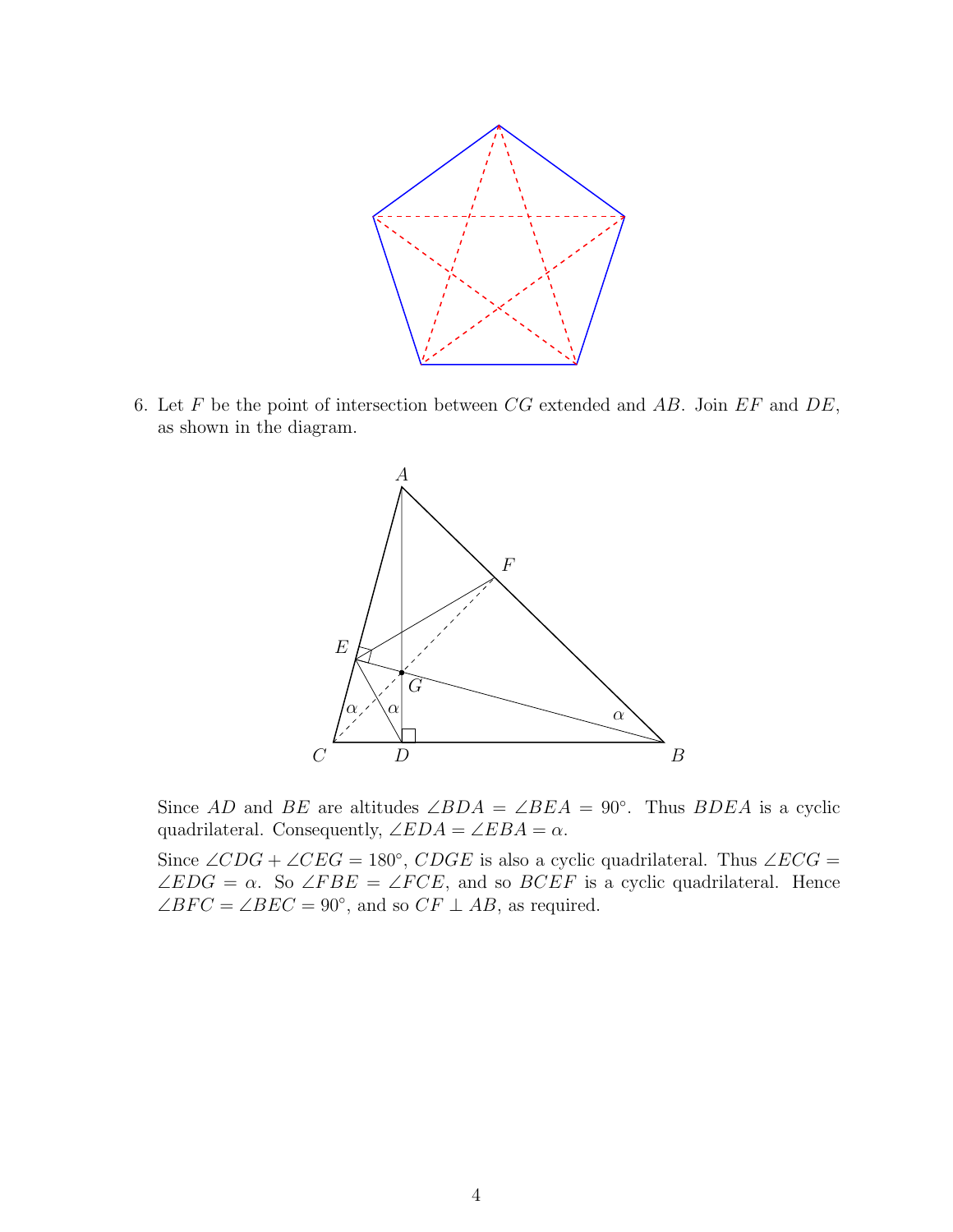

6. Let  $F$  be the point of intersection between  $CG$  extended and  $AB$ . Join  $EF$  and  $DE$ , as shown in the diagram.



Since AD and BE are altitudes  $\angle BDA = \angle BEA = 90^\circ$ . Thus BDEA is a cyclic quadrilateral. Consequently,  $\angle EDA = \angle EBA = \alpha$ .

Since  $\angle CDG + \angle CEG = 180^\circ$ ,  $CDGE$  is also a cyclic quadrilateral. Thus  $\angle ECG =$  $\angle EDG = \alpha$ . So  $\angle FBE = \angle FCE$ , and so  $BCEF$  is a cyclic quadrilateral. Hence  $\angle BFC = \angle BEC = 90^{\circ}$ , and so  $CF \perp AB$ , as required.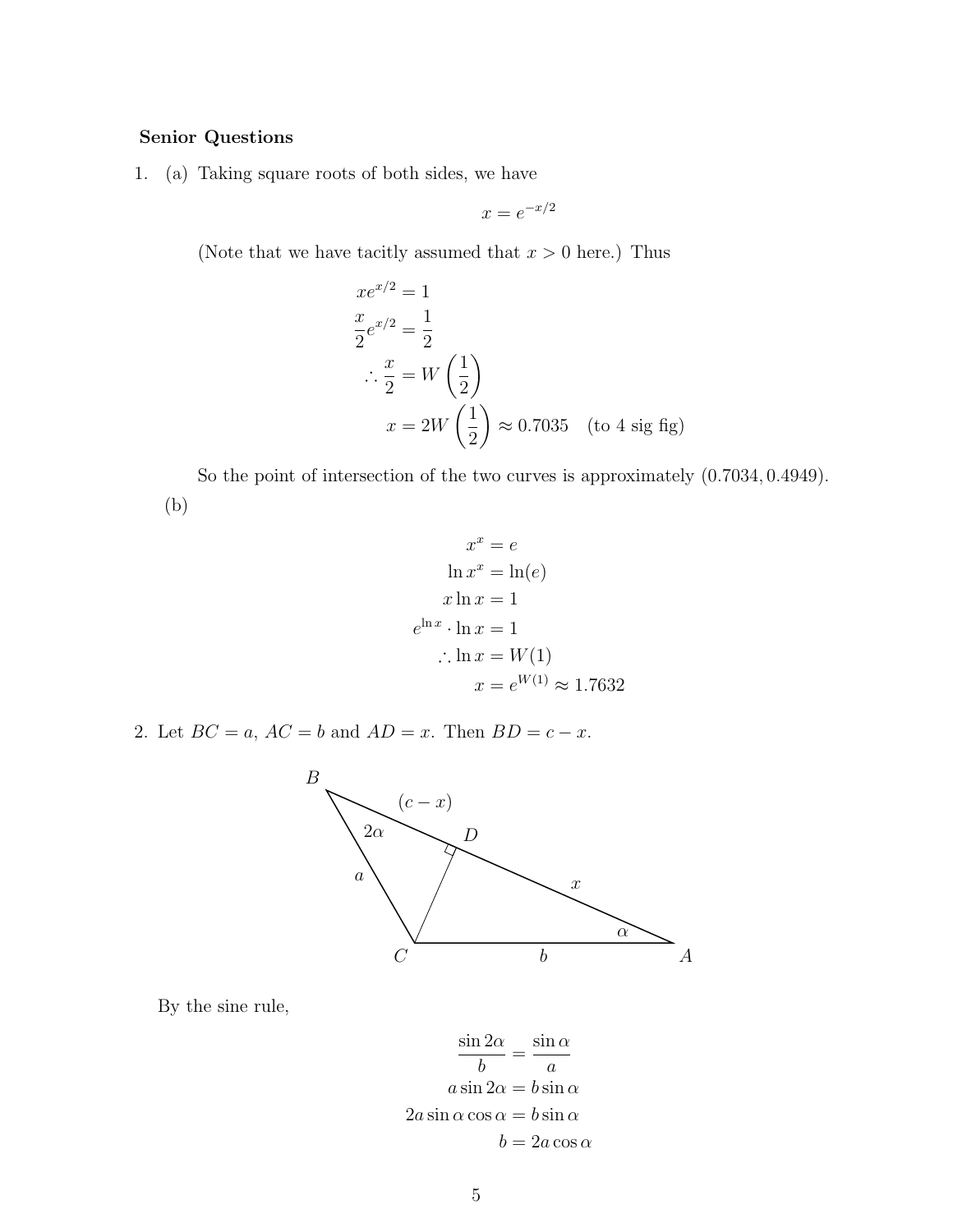## Senior Questions

1. (a) Taking square roots of both sides, we have

$$
x = e^{-x/2}
$$

(Note that we have tacitly assumed that  $x > 0$  here.) Thus

$$
xe^{x/2} = 1
$$
  
\n
$$
\frac{x}{2}e^{x/2} = \frac{1}{2}
$$
  
\n
$$
\therefore \frac{x}{2} = W\left(\frac{1}{2}\right)
$$
  
\n
$$
x = 2W\left(\frac{1}{2}\right) \approx 0.7035 \quad \text{(to 4 sig fig)}
$$

So the point of intersection of the two curves is approximately (0.7034, 0.4949). (b)

$$
x^{x} = e
$$
  
\n
$$
\ln x^{x} = \ln(e)
$$
  
\n
$$
x \ln x = 1
$$
  
\n
$$
e^{\ln x} \cdot \ln x = 1
$$
  
\n
$$
\therefore \ln x = W(1)
$$
  
\n
$$
x = e^{W(1)} \approx 1.7632
$$

2. Let  $BC = a$ ,  $AC = b$  and  $AD = x$ . Then  $BD = c - x$ .



By the sine rule,

$$
\frac{\sin 2\alpha}{b} = \frac{\sin \alpha}{a}
$$

$$
a \sin 2\alpha = b \sin \alpha
$$

$$
2a \sin \alpha \cos \alpha = b \sin \alpha
$$

$$
b = 2a \cos \alpha
$$